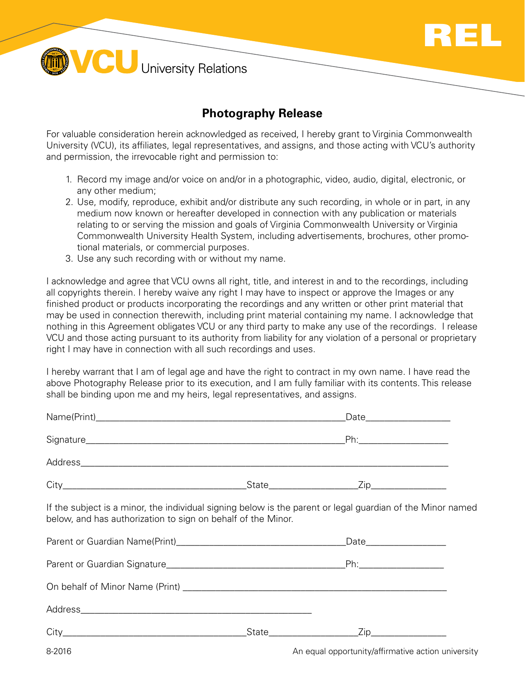

**VCU** University Relations

## **Photography Release**

For valuable consideration herein acknowledged as received, I hereby grant to Virginia Commonwealth University (VCU), its affiliates, legal representatives, and assigns, and those acting with VCU's authority and permission, the irrevocable right and permission to:

- 1. Record my image and/or voice on and/or in a photographic, video, audio, digital, electronic, or any other medium;
- 2. Use, modify, reproduce, exhibit and/or distribute any such recording, in whole or in part, in any medium now known or hereafter developed in connection with any publication or materials relating to or serving the mission and goals of Virginia Commonwealth University or Virginia Commonwealth University Health System, including advertisements, brochures, other promotional materials, or commercial purposes.
- 3. Use any such recording with or without my name.

I acknowledge and agree that VCU owns all right, title, and interest in and to the recordings, including all copyrights therein. I hereby waive any right I may have to inspect or approve the Images or any finished product or products incorporating the recordings and any written or other print material that may be used in connection therewith, including print material containing my name. I acknowledge that nothing in this Agreement obligates VCU or any third party to make any use of the recordings. I release VCU and those acting pursuant to its authority from liability for any violation of a personal or proprietary right I may have in connection with all such recordings and uses.

I hereby warrant that I am of legal age and have the right to contract in my own name. I have read the above Photography Release prior to its execution, and I am fully familiar with its contents. This release shall be binding upon me and my heirs, legal representatives, and assigns.

|                                                                                                                                                                            | Date______________________ |  |
|----------------------------------------------------------------------------------------------------------------------------------------------------------------------------|----------------------------|--|
|                                                                                                                                                                            |                            |  |
|                                                                                                                                                                            |                            |  |
|                                                                                                                                                                            |                            |  |
| If the subject is a minor, the individual signing below is the parent or legal guardian of the Minor named<br>below, and has authorization to sign on behalf of the Minor. |                            |  |
|                                                                                                                                                                            |                            |  |
|                                                                                                                                                                            |                            |  |
|                                                                                                                                                                            |                            |  |
|                                                                                                                                                                            |                            |  |
|                                                                                                                                                                            |                            |  |

8-2016 **B-2016** An equal opportunity/affirmative action university